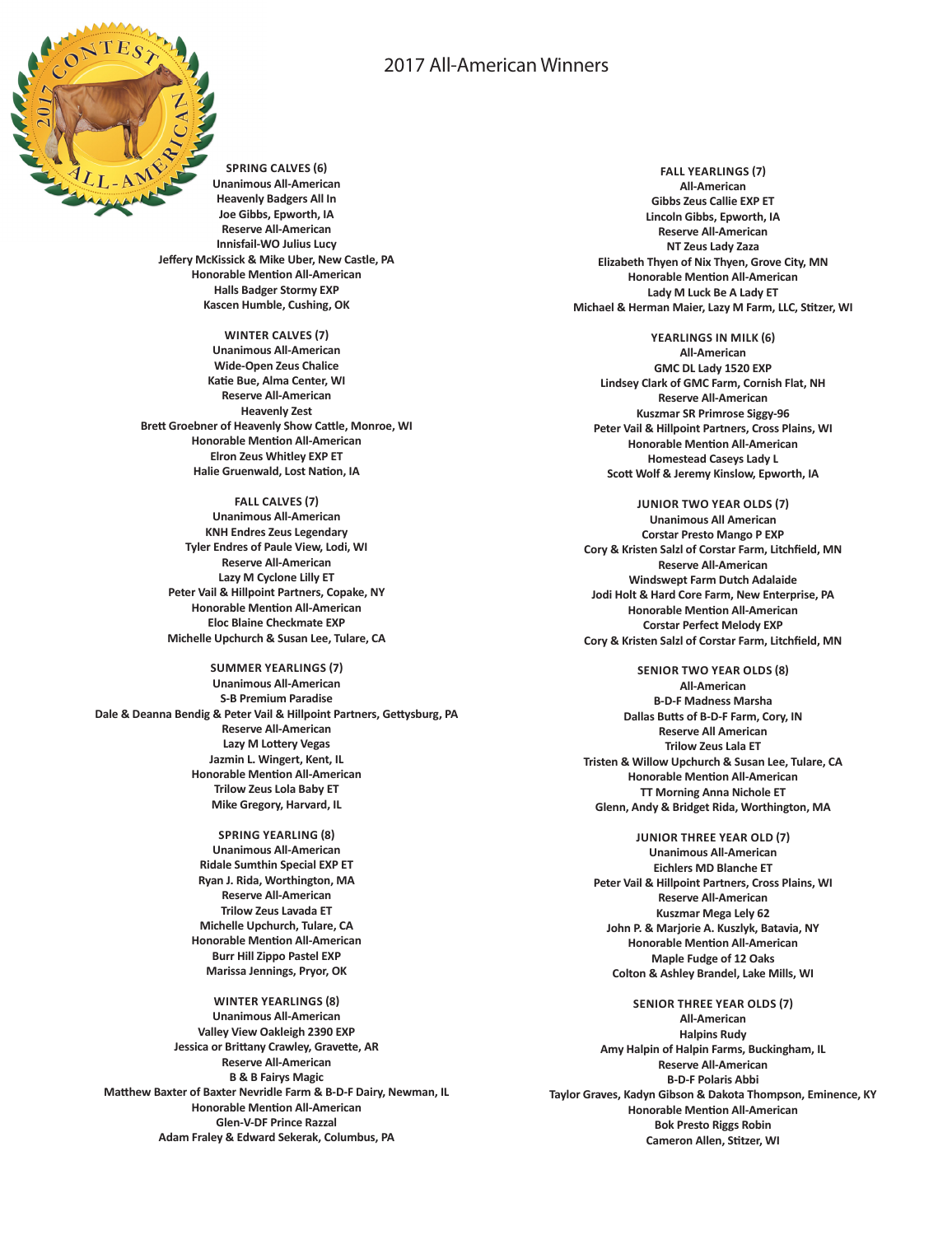# 2017 All-American Winners



**SPRING CALVES (6) Unanimous All-American Heavenly Badgers All In Joe Gibbs, Epworth, IA Reserve All-American Innisfail-WO Julius Lucy Jeffery McKissick & Mike Uber, New Castle, PA Honorable Mention All-American Halls Badger Stormy EXP Kascen Humble, Cushing, OK**

## **WINTER CALVES (7)**

**Unanimous All-American Wide-Open Zeus Chalice Katie Bue, Alma Center, WI Reserve All-American Heavenly Zest Brett Groebner of Heavenly Show Cattle, Monroe, WI Honorable Mention All-American Elron Zeus Whitley EXP ET Halie Gruenwald, Lost Nation, IA**

**FALL CALVES (7) Unanimous All-American KNH Endres Zeus Legendary Tyler Endres of Paule View, Lodi, WI Reserve All-American Lazy M Cyclone Lilly ET Peter Vail & Hillpoint Partners, Copake, NY Honorable Mention All-American Eloc Blaine Checkmate EXP Michelle Upchurch & Susan Lee, Tulare, CA**

**SUMMER YEARLINGS (7) Unanimous All-American S-B Premium Paradise Dale & Deanna Bendig & Peter Vail & Hillpoint Partners, Gettysburg, PA Reserve All-American Lazy M Lottery Vegas Jazmin L. Wingert, Kent, IL Honorable Mention All-American Trilow Zeus Lola Baby ET Mike Gregory, Harvard, IL**

> **SPRING YEARLING (8) Unanimous All-American Ridale Sumthin Special EXP ET Ryan J. Rida, Worthington, MA Reserve All-American Trilow Zeus Lavada ET Michelle Upchurch, Tulare, CA Honorable Mention All-American Burr Hill Zippo Pastel EXP Marissa Jennings, Pryor, OK**

**WINTER YEARLINGS (8) Unanimous All-American Valley View Oakleigh 2390 EXP Jessica or Brittany Crawley, Gravette, AR Reserve All-American B & B Fairys Magic Matthew Baxter of Baxter Nevridle Farm & B-D-F Dairy, Newman, IL Honorable Mention All-American Glen-V-DF Prince Razzal Adam Fraley & Edward Sekerak, Columbus, PA**

**FALL YEARLINGS (7) All-American Gibbs Zeus Callie EXP ET Lincoln Gibbs, Epworth, IA Reserve All-American NT Zeus Lady Zaza Elizabeth Thyen of Nix Thyen, Grove City, MN Honorable Mention All-American Lady M Luck Be A Lady ET Michael & Herman Maier, Lazy M Farm, LLC, Stitzer, WI**

**YEARLINGS IN MILK (6) All-American GMC DL Lady 1520 EXP Lindsey Clark of GMC Farm, Cornish Flat, NH Reserve All-American Kuszmar SR Primrose Siggy-96 Peter Vail & Hillpoint Partners, Cross Plains, WI Honorable Mention All-American Homestead Caseys Lady L Scott Wolf & Jeremy Kinslow, Epworth, IA**

**JUNIOR TWO YEAR OLDS (7) Unanimous All American Corstar Presto Mango P EXP Cory & Kristen Salzl of Corstar Farm, Litchfield, MN Reserve All-American Windswept Farm Dutch Adalaide Jodi Holt & Hard Core Farm, New Enterprise, PA Honorable Mention All-American Corstar Perfect Melody EXP Cory & Kristen Salzl of Corstar Farm, Litchfield, MN**

**SENIOR TWO YEAR OLDS (8) All-American B-D-F Madness Marsha Dallas Butts of B-D-F Farm, Cory, IN Reserve All American Trilow Zeus Lala ET Tristen & Willow Upchurch & Susan Lee, Tulare, CA Honorable Mention All-American TT Morning Anna Nichole ET Glenn, Andy & Bridget Rida, Worthington, MA**

**JUNIOR THREE YEAR OLD (7) Unanimous All-American Eichlers MD Blanche ET Peter Vail & Hillpoint Partners, Cross Plains, WI Reserve All-American Kuszmar Mega Lely 62 John P. & Marjorie A. Kuszlyk, Batavia, NY Honorable Mention All-American Maple Fudge of 12 Oaks Colton & Ashley Brandel, Lake Mills, WI**

**SENIOR THREE YEAR OLDS (7) All-American Halpins Rudy Amy Halpin of Halpin Farms, Buckingham, IL Reserve All-American B-D-F Polaris Abbi Taylor Graves, Kadyn Gibson & Dakota Thompson, Eminence, KY Honorable Mention All-American Bok Presto Riggs Robin Cameron Allen, Stitzer, WI**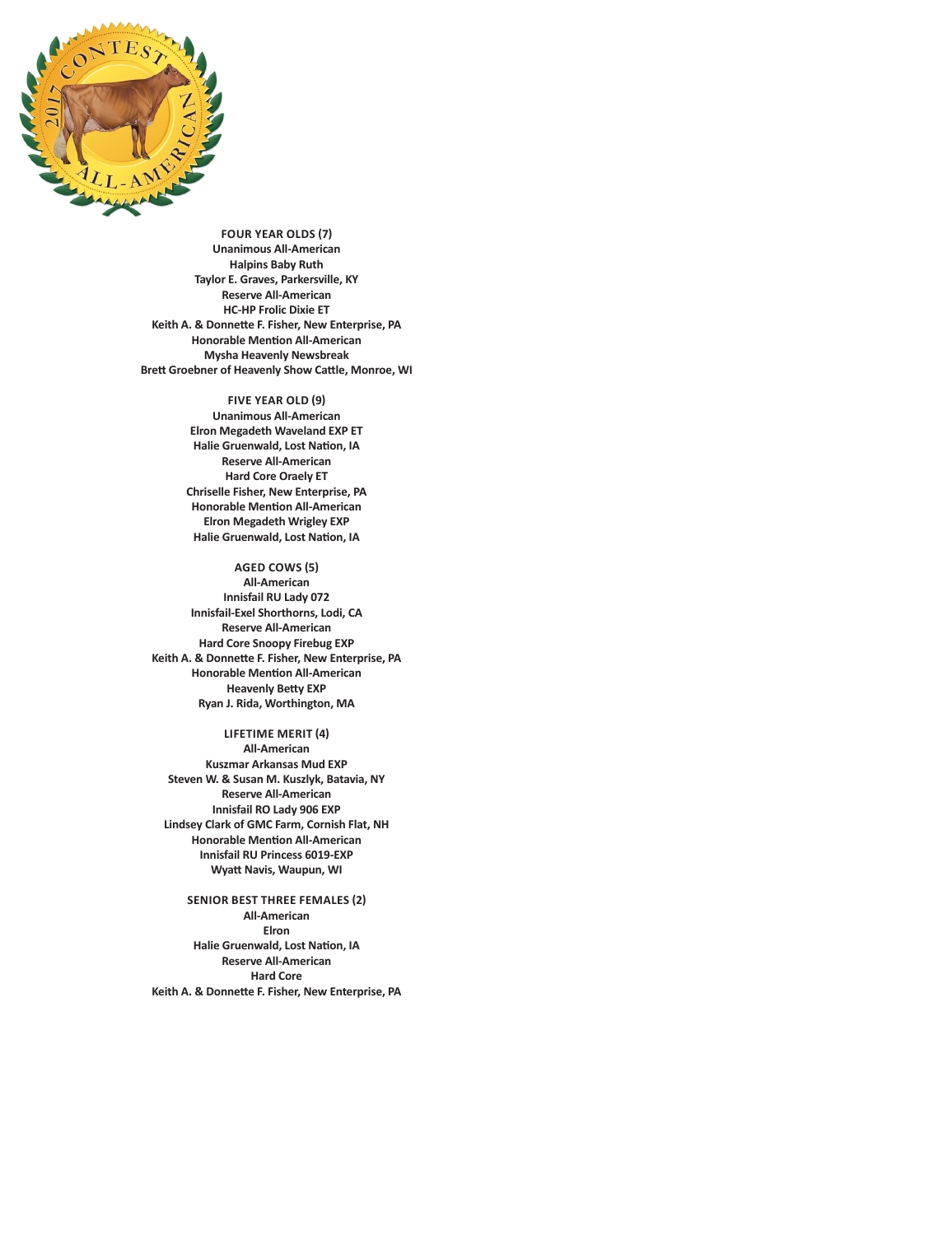

**FOUR YEAR OLDS (7) Unanimous All-American Halpins Baby Ruth Taylor E. Graves, Parkersville, KY Reserve All-American HC-HP Frolic Dixie ET Keith A. & Donnette F. Fisher, New Enterprise, PA Honorable Mention All-American Mysha Heavenly Newsbreak Brett Groebner of Heavenly Show Cattle, Monroe, WI**

#### **FIVE YEAR OLD (9)**

**Unanimous All-American Elron Megadeth Waveland EXP ET Halie Gruenwald, Lost Nation, IA Reserve All-American Hard Core Oraely ET Chriselle Fisher, New Enterprise, PA Honorable Mention All-American Elron Megadeth Wrigley EXP Halie Gruenwald, Lost Nation, IA**

## **AGED COWS (5)**

**All-American Innisfail RU Lady 072 Innisfail-Exel Shorthorns, Lodi, CA Reserve All-American Hard Core Snoopy Firebug EXP Keith A. & Donnette F. Fisher, New Enterprise, PA Honorable Mention All-American Heavenly Betty EXP Ryan J. Rida, Worthington, MA**

**LIFETIME MERIT (4) All-American Kuszmar Arkansas Mud EXP Steven W. & Susan M. Kuszlyk, Batavia, NY Reserve All-American Innisfail RO Lady 906 EXP Lindsey Clark of GMC Farm, Cornish Flat, NH Honorable Mention All-American Innisfail RU Princess 6019-EXP Wyatt Navis, Waupun, WI**

**SENIOR BEST THREE FEMALES (2) All-American Elron Halie Gruenwald, Lost Nation, IA Reserve All-American Hard Core Keith A. & Donnette F. Fisher, New Enterprise, PA**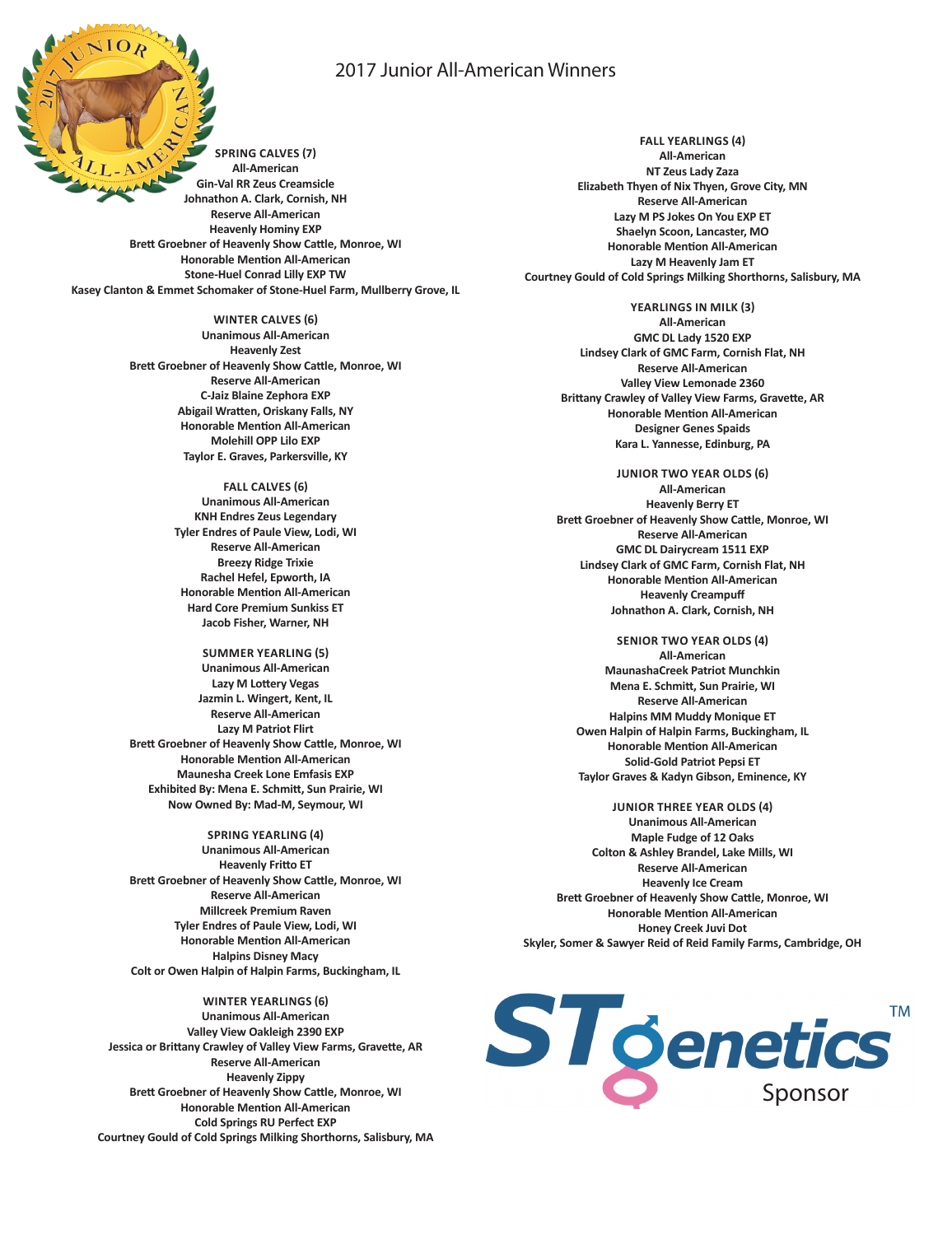## 2017 Junior All-American Winners

**SPRING CALVES (7) All-American Gin-Val RR Zeus Creamsicle Johnathon A. Clark, Cornish, NH Reserve All-American Heavenly Hominy EXP Brett Groebner of Heavenly Show Cattle, Monroe, WI Honorable Mention All-American Stone-Huel Conrad Lilly EXP TW Kasey Clanton & Emmet Schomaker of Stone-Huel Farm, Mullberry Grove, IL**

> **WINTER CALVES (6) Unanimous All-American Heavenly Zest Brett Groebner of Heavenly Show Cattle, Monroe, WI Reserve All-American C-Jaiz Blaine Zephora EXP Abigail Wratten, Oriskany Falls, NY Honorable Mention All-American Molehill OPP Lilo EXP Taylor E. Graves, Parkersville, KY**

> > **FALL CALVES (6) Unanimous All-American KNH Endres Zeus Legendary Tyler Endres of Paule View, Lodi, WI Reserve All-American Breezy Ridge Trixie Rachel Hefel, Epworth, IA Honorable Mention All-American Hard Core Premium Sunkiss ET Jacob Fisher, Warner, NH**

**SUMMER YEARLING (5) Unanimous All-American Lazy M Lottery Vegas Jazmin L. Wingert, Kent, IL Reserve All-American Lazy M Patriot Flirt Brett Groebner of Heavenly Show Cattle, Monroe, WI Honorable Mention All-American Maunesha Creek Lone Emfasis EXP Exhibited By: Mena E. Schmitt, Sun Prairie, WI Now Owned By: Mad-M, Seymour, WI**

**SPRING YEARLING (4) Unanimous All-American Heavenly Fritto ET Brett Groebner of Heavenly Show Cattle, Monroe, WI Reserve All-American Millcreek Premium Raven Tyler Endres of Paule View, Lodi, WI Honorable Mention All-American Halpins Disney Macy Colt or Owen Halpin of Halpin Farms, Buckingham, IL**

**WINTER YEARLINGS (6) Unanimous All-American Valley View Oakleigh 2390 EXP Jessica or Brittany Crawley of Valley View Farms, Gravette, AR Reserve All-American Heavenly Zippy Brett Groebner of Heavenly Show Cattle, Monroe, WI Honorable Mention All-American Cold Springs RU Perfect EXP Courtney Gould of Cold Springs Milking Shorthorns, Salisbury, MA**

**FALL YEARLINGS (4) All-American NT Zeus Lady Zaza Elizabeth Thyen of Nix Thyen, Grove City, MN Reserve All-American Lazy M PS Jokes On You EXP ET Shaelyn Scoon, Lancaster, MO Honorable Mention All-American Lazy M Heavenly Jam ET Courtney Gould of Cold Springs Milking Shorthorns, Salisbury, MA**

> **YEARLINGS IN MILK (3) All-American GMC DL Lady 1520 EXP Lindsey Clark of GMC Farm, Cornish Flat, NH Reserve All-American Valley View Lemonade 2360 Brittany Crawley of Valley View Farms, Gravette, AR Honorable Mention All-American Designer Genes Spaids Kara L. Yannesse, Edinburg, PA**

**JUNIOR TWO YEAR OLDS (6) All-American Heavenly Berry ET Brett Groebner of Heavenly Show Cattle, Monroe, WI Reserve All-American GMC DL Dairycream 1511 EXP Lindsey Clark of GMC Farm, Cornish Flat, NH Honorable Mention All-American Heavenly Creampuff Johnathon A. Clark, Cornish, NH**

**SENIOR TWO YEAR OLDS (4) All-American MaunashaCreek Patriot Munchkin Mena E. Schmitt, Sun Prairie, WI Reserve All-American Halpins MM Muddy Monique ET Owen Halpin of Halpin Farms, Buckingham, IL Honorable Mention All-American Solid-Gold Patriot Pepsi ET Taylor Graves & Kadyn Gibson, Eminence, KY**

**JUNIOR THREE YEAR OLDS (4) Unanimous All-American Maple Fudge of 12 Oaks Colton & Ashley Brandel, Lake Mills, WI Reserve All-American Heavenly Ice Cream Brett Groebner of Heavenly Show Cattle, Monroe, WI Honorable Mention All-American Honey Creek Juvi Dot Skyler, Somer & Sawyer Reid of Reid Family Farms, Cambridge, OH**